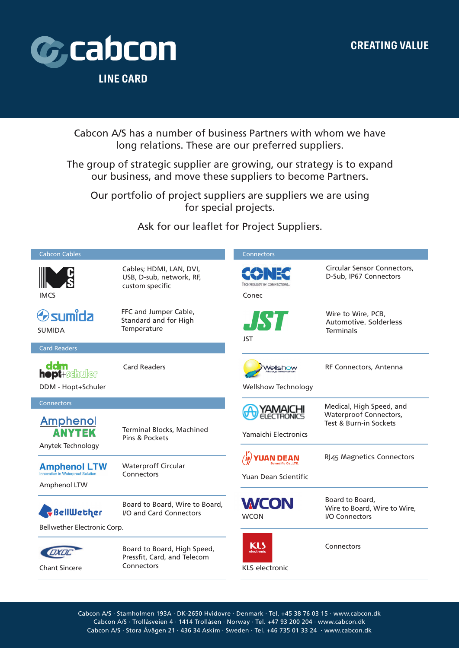

L

I

Cabcon A/S has a number of business Partners with whom we have long relations. These are our preferred suppliers.

The group of strategic supplier are growing, our strategy is to expand our business, and move these suppliers to become Partners.

Our portfolio of project suppliers are suppliers we are using for special projects.

Ask for our leaflet for Project Suppliers.

| <b>Cabcon Cables</b>                                                     |                                                                          | Connectors                                             |                                                                          |
|--------------------------------------------------------------------------|--------------------------------------------------------------------------|--------------------------------------------------------|--------------------------------------------------------------------------|
| <b>IMCS</b>                                                              | Cables; HDMI, LAN, DVI,<br>USB, D-sub, network, RF,<br>custom specific   | Conec                                                  | Circular Sensor Connectors,<br>D-Sub, IP67 Connectors                    |
| <b>Osumida</b><br><b>SUMIDA</b>                                          | FFC and Jumper Cable,<br>Standard and for High<br>Temperature            | <b>JST</b><br><b>JST</b>                               | Wire to Wire, PCB,<br>Automotive, Solderless<br><b>Terminals</b>         |
| <b>Card Readers</b>                                                      |                                                                          |                                                        |                                                                          |
| ddm<br>hopt+schuler<br>DDM - Hopt+Schuler                                | <b>Card Readers</b>                                                      | <i>Nellshow</i><br><b>Wellshow Technology</b>          | RF Connectors, Antenna                                                   |
| <b>Connectors</b>                                                        |                                                                          |                                                        | Medical, High Speed, and                                                 |
| <b>Amphenol</b><br><b>ANYTEK</b><br>Anytek Technology                    | <b>Terminal Blocks, Machined</b><br>Pins & Pockets                       | <b>YAMAICHI</b><br>ELECTRONICS<br>Yamaichi Electronics | Waterproof Connectors,<br>Test & Burn-in Sockets                         |
| <b>Amphenol LTW</b><br>Innovation in Waterproof Solution<br>Amphenol LTW | <b>Waterproff Circular</b><br>Connectors                                 | Yuan Dean Scientific                                   | RJ45 Magnetics Connectors                                                |
| BellWether                                                               | Board to Board, Wire to Board,<br>I/O and Card Connectors                | <b>WCON</b><br><b>WCON</b>                             | Board to Board,<br>Wire to Board, Wire to Wire,<br><b>I/O Connectors</b> |
| Bellwether Electronic Corp.                                              |                                                                          |                                                        |                                                                          |
| <b>Chant Sincere</b>                                                     | Board to Board, High Speed,<br>Pressfit, Card, and Telecom<br>Connectors | KI 5<br><b>Nectronic</b><br><b>KLS electronic</b>      | Connectors                                                               |